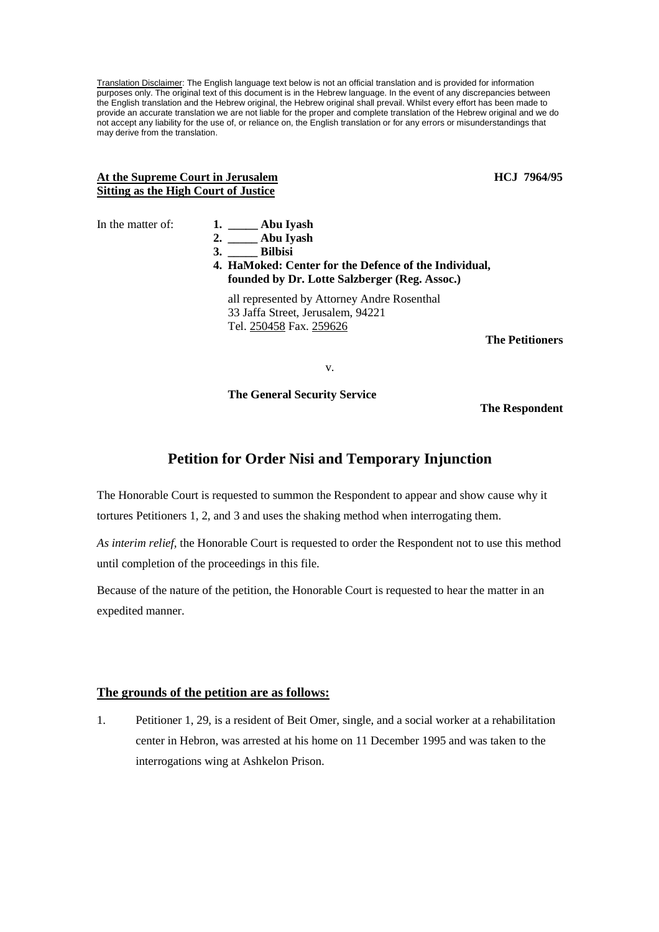Translation Disclaimer: The English language text below is not an official translation and is provided for information purposes only. The original text of this document is in the Hebrew language. In the event of any discrepancies between the English translation and the Hebrew original, the Hebrew original shall prevail. Whilst every effort has been made to provide an accurate translation we are not liable for the proper and complete translation of the Hebrew original and we do not accept any liability for the use of, or reliance on, the English translation or for any errors or misunderstandings that may derive from the translation.

## At the Supreme Court in Jerusalem **HCJ** 7964/95 **Sitting as the High Court of Justice**

In the matter of:

|    | 1. $\_\_\_\$ Abu Iyash                                |        |
|----|-------------------------------------------------------|--------|
| 3. | $2.$ Abu Iyash<br><b>Bilbisi</b>                      |        |
|    | 4. HaMoked: Center for the Defence of the Individual, |        |
|    | founded by Dr. Lotte Salzberger (Reg. Assoc.)         |        |
|    | all represented by Attorney Andre Rosenthal           |        |
|    | 33 Jaffa Street, Jerusalem, 94221                     |        |
|    | Tel. 250458 Fax. 259626                               |        |
|    |                                                       | TL . D |

**The Petitioners** 

v.

**The General Security Service** 

**The Respondent** 

## **Petition for Order Nisi and Temporary Injunction**

The Honorable Court is requested to summon the Respondent to appear and show cause why it tortures Petitioners 1, 2, and 3 and uses the shaking method when interrogating them.

*As interim relief,* the Honorable Court is requested to order the Respondent not to use this method until completion of the proceedings in this file.

Because of the nature of the petition, the Honorable Court is requested to hear the matter in an expedited manner.

## **The grounds of the petition are as follows:**

1. Petitioner 1, 29, is a resident of Beit Omer, single, and a social worker at a rehabilitation center in Hebron, was arrested at his home on 11 December 1995 and was taken to the interrogations wing at Ashkelon Prison.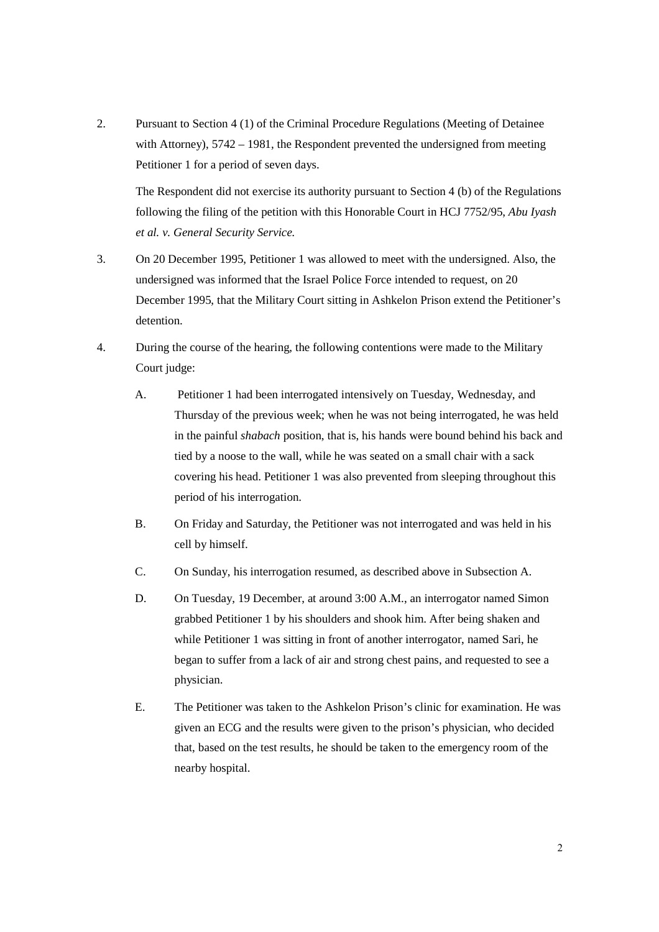2. Pursuant to Section 4 (1) of the Criminal Procedure Regulations (Meeting of Detainee with Attorney),  $5742 - 1981$ , the Respondent prevented the undersigned from meeting Petitioner 1 for a period of seven days.

The Respondent did not exercise its authority pursuant to Section 4 (b) of the Regulations following the filing of the petition with this Honorable Court in HCJ 7752/95, *Abu Iyash et al. v. General Security Service.*

- 3. On 20 December 1995, Petitioner 1 was allowed to meet with the undersigned. Also, the undersigned was informed that the Israel Police Force intended to request, on 20 December 1995, that the Military Court sitting in Ashkelon Prison extend the Petitioner's detention.
- 4. During the course of the hearing, the following contentions were made to the Military Court judge:
	- A. Petitioner 1 had been interrogated intensively on Tuesday, Wednesday, and Thursday of the previous week; when he was not being interrogated, he was held in the painful *shabach* position, that is, his hands were bound behind his back and tied by a noose to the wall, while he was seated on a small chair with a sack covering his head. Petitioner 1 was also prevented from sleeping throughout this period of his interrogation.
	- B. On Friday and Saturday, the Petitioner was not interrogated and was held in his cell by himself.
	- C. On Sunday, his interrogation resumed, as described above in Subsection A.
	- D. On Tuesday, 19 December, at around 3:00 A.M., an interrogator named Simon grabbed Petitioner 1 by his shoulders and shook him. After being shaken and while Petitioner 1 was sitting in front of another interrogator, named Sari, he began to suffer from a lack of air and strong chest pains, and requested to see a physician.
	- E. The Petitioner was taken to the Ashkelon Prison's clinic for examination. He was given an ECG and the results were given to the prison's physician, who decided that, based on the test results, he should be taken to the emergency room of the nearby hospital.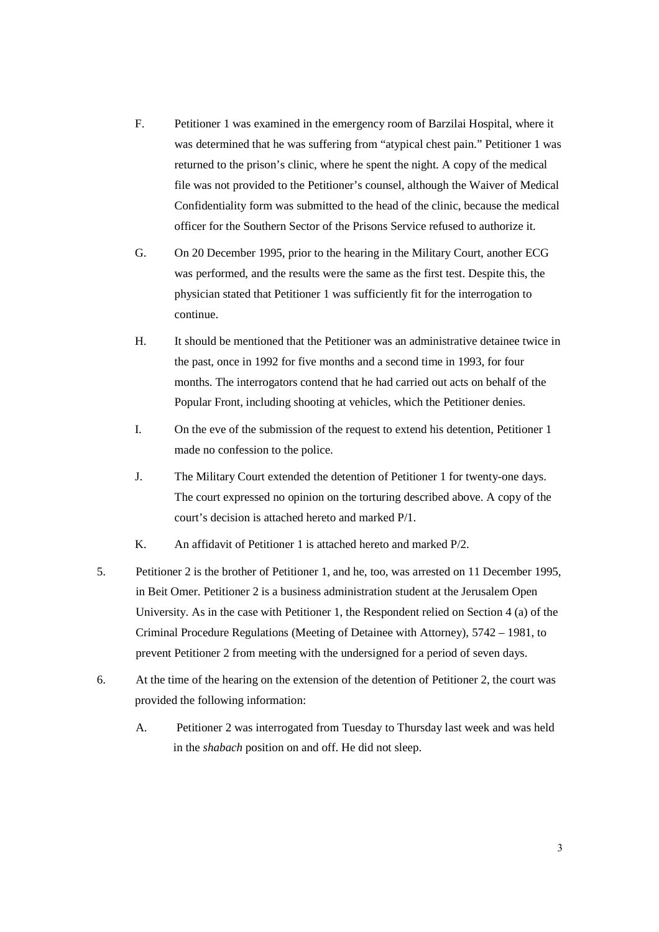- F. Petitioner 1 was examined in the emergency room of Barzilai Hospital, where it was determined that he was suffering from "atypical chest pain." Petitioner 1 was returned to the prison's clinic, where he spent the night. A copy of the medical file was not provided to the Petitioner's counsel, although the Waiver of Medical Confidentiality form was submitted to the head of the clinic, because the medical officer for the Southern Sector of the Prisons Service refused to authorize it.
- G. On 20 December 1995, prior to the hearing in the Military Court, another ECG was performed, and the results were the same as the first test. Despite this, the physician stated that Petitioner 1 was sufficiently fit for the interrogation to continue.
- H. It should be mentioned that the Petitioner was an administrative detainee twice in the past, once in 1992 for five months and a second time in 1993, for four months. The interrogators contend that he had carried out acts on behalf of the Popular Front, including shooting at vehicles, which the Petitioner denies.
- I. On the eve of the submission of the request to extend his detention, Petitioner 1 made no confession to the police.
- J. The Military Court extended the detention of Petitioner 1 for twenty-one days. The court expressed no opinion on the torturing described above. A copy of the court's decision is attached hereto and marked P/1.

K. An affidavit of Petitioner 1 is attached hereto and marked P/2.

- 5. Petitioner 2 is the brother of Petitioner 1, and he, too, was arrested on 11 December 1995, in Beit Omer. Petitioner 2 is a business administration student at the Jerusalem Open University. As in the case with Petitioner 1, the Respondent relied on Section 4 (a) of the Criminal Procedure Regulations (Meeting of Detainee with Attorney), 5742 – 1981, to prevent Petitioner 2 from meeting with the undersigned for a period of seven days.
- 6. At the time of the hearing on the extension of the detention of Petitioner 2, the court was provided the following information:
	- A. Petitioner 2 was interrogated from Tuesday to Thursday last week and was held in the *shabach* position on and off. He did not sleep.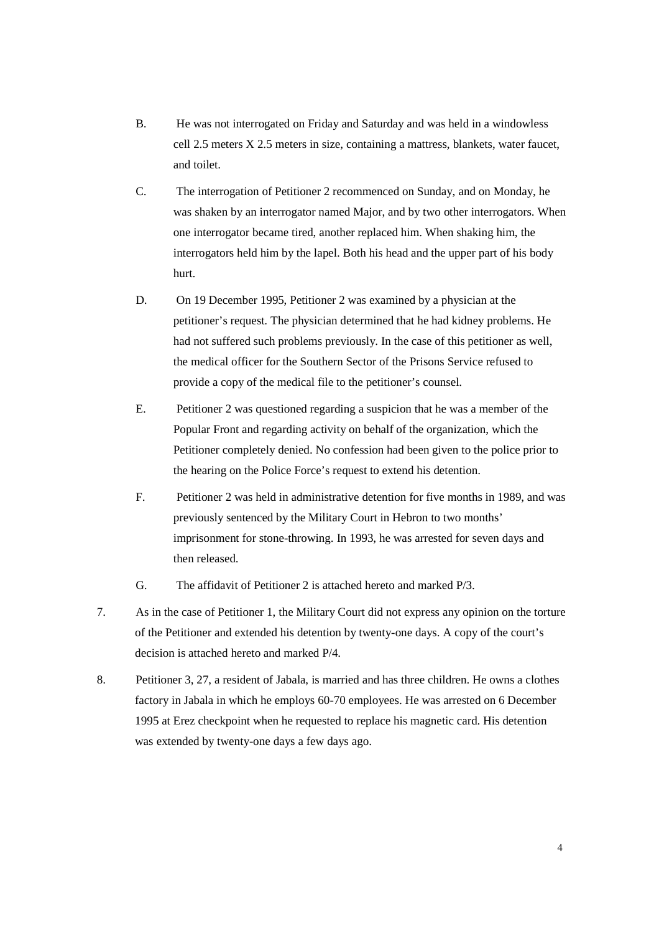- B. He was not interrogated on Friday and Saturday and was held in a windowless cell 2.5 meters X 2.5 meters in size, containing a mattress, blankets, water faucet, and toilet.
- C. The interrogation of Petitioner 2 recommenced on Sunday, and on Monday, he was shaken by an interrogator named Major, and by two other interrogators. When one interrogator became tired, another replaced him. When shaking him, the interrogators held him by the lapel. Both his head and the upper part of his body hurt.
- D. On 19 December 1995, Petitioner 2 was examined by a physician at the petitioner's request. The physician determined that he had kidney problems. He had not suffered such problems previously. In the case of this petitioner as well, the medical officer for the Southern Sector of the Prisons Service refused to provide a copy of the medical file to the petitioner's counsel.
- E. Petitioner 2 was questioned regarding a suspicion that he was a member of the Popular Front and regarding activity on behalf of the organization, which the Petitioner completely denied. No confession had been given to the police prior to the hearing on the Police Force's request to extend his detention.
- F. Petitioner 2 was held in administrative detention for five months in 1989, and was previously sentenced by the Military Court in Hebron to two months' imprisonment for stone-throwing. In 1993, he was arrested for seven days and then released.
- G. The affidavit of Petitioner 2 is attached hereto and marked P/3.
- 7. As in the case of Petitioner 1, the Military Court did not express any opinion on the torture of the Petitioner and extended his detention by twenty-one days. A copy of the court's decision is attached hereto and marked P/4.
- 8. Petitioner 3, 27, a resident of Jabala, is married and has three children. He owns a clothes factory in Jabala in which he employs 60-70 employees. He was arrested on 6 December 1995 at Erez checkpoint when he requested to replace his magnetic card. His detention was extended by twenty-one days a few days ago.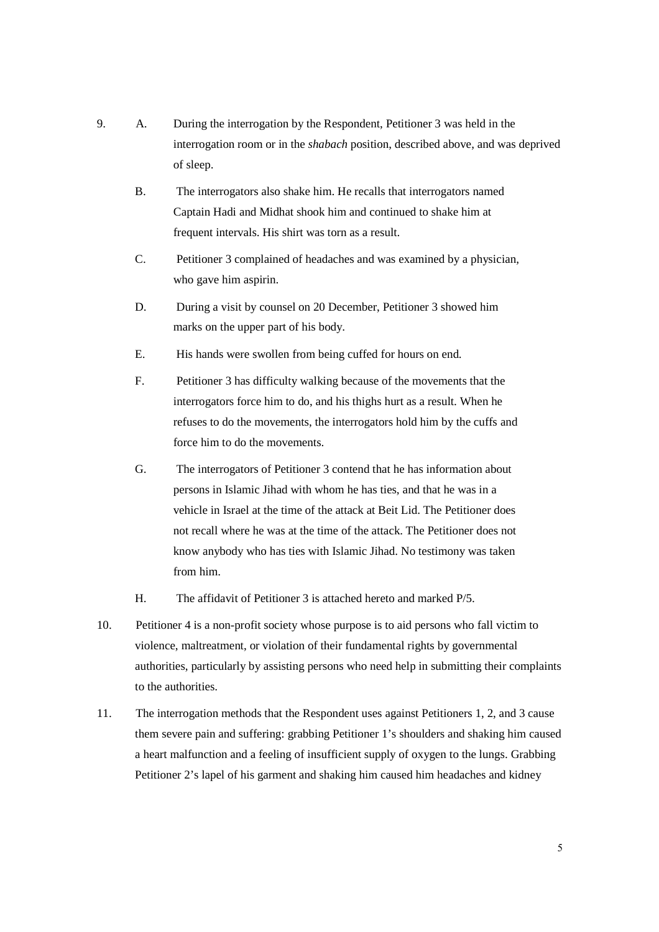- 9. A. During the interrogation by the Respondent, Petitioner 3 was held in the interrogation room or in the *shabach* position, described above, and was deprived of sleep.
	- B. The interrogators also shake him. He recalls that interrogators named Captain Hadi and Midhat shook him and continued to shake him at frequent intervals. His shirt was torn as a result.
	- C. Petitioner 3 complained of headaches and was examined by a physician, who gave him aspirin.
	- D. During a visit by counsel on 20 December, Petitioner 3 showed him marks on the upper part of his body.
	- E. His hands were swollen from being cuffed for hours on end.
	- F. Petitioner 3 has difficulty walking because of the movements that the interrogators force him to do, and his thighs hurt as a result. When he refuses to do the movements, the interrogators hold him by the cuffs and force him to do the movements.
	- G. The interrogators of Petitioner 3 contend that he has information about persons in Islamic Jihad with whom he has ties, and that he was in a vehicle in Israel at the time of the attack at Beit Lid. The Petitioner does not recall where he was at the time of the attack. The Petitioner does not know anybody who has ties with Islamic Jihad. No testimony was taken from him.
	- H. The affidavit of Petitioner 3 is attached hereto and marked P/5.
- 10. Petitioner 4 is a non-profit society whose purpose is to aid persons who fall victim to violence, maltreatment, or violation of their fundamental rights by governmental authorities, particularly by assisting persons who need help in submitting their complaints to the authorities.
- 11. The interrogation methods that the Respondent uses against Petitioners 1, 2, and 3 cause them severe pain and suffering: grabbing Petitioner 1's shoulders and shaking him caused a heart malfunction and a feeling of insufficient supply of oxygen to the lungs. Grabbing Petitioner 2's lapel of his garment and shaking him caused him headaches and kidney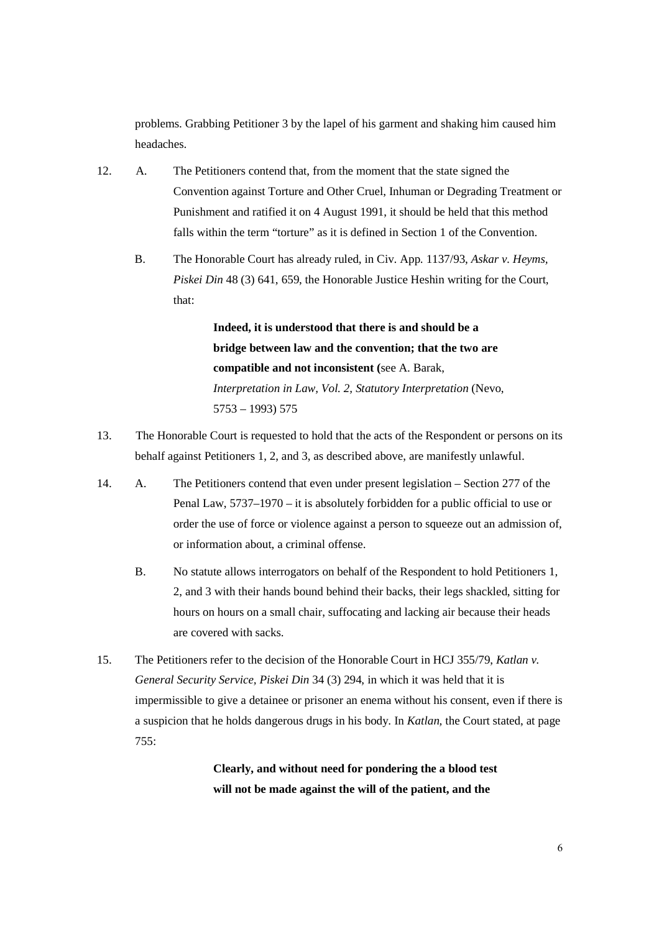problems. Grabbing Petitioner 3 by the lapel of his garment and shaking him caused him headaches.

- 12. A. The Petitioners contend that, from the moment that the state signed the Convention against Torture and Other Cruel, Inhuman or Degrading Treatment or Punishment and ratified it on 4 August 1991, it should be held that this method falls within the term "torture" as it is defined in Section 1 of the Convention.
	- B. The Honorable Court has already ruled, in Civ. App. 1137/93, *Askar v. Heyms, Piskei Din* 48 (3) 641, 659, the Honorable Justice Heshin writing for the Court, that:

**Indeed, it is understood that there is and should be a bridge between law and the convention; that the two are compatible and not inconsistent (**see A. Barak, *Interpretation in Law, Vol. 2, Statutory Interpretation* (Nevo, 5753 – 1993) 575

- 13. The Honorable Court is requested to hold that the acts of the Respondent or persons on its behalf against Petitioners 1, 2, and 3, as described above, are manifestly unlawful.
- 14. A. The Petitioners contend that even under present legislation Section 277 of the Penal Law, 5737–1970 – it is absolutely forbidden for a public official to use or order the use of force or violence against a person to squeeze out an admission of, or information about, a criminal offense.
	- B. No statute allows interrogators on behalf of the Respondent to hold Petitioners 1, 2, and 3 with their hands bound behind their backs, their legs shackled, sitting for hours on hours on a small chair, suffocating and lacking air because their heads are covered with sacks.
- 15. The Petitioners refer to the decision of the Honorable Court in HCJ 355/79, *Katlan v. General Security Service, Piskei Din* 34 (3) 294, in which it was held that it is impermissible to give a detainee or prisoner an enema without his consent, even if there is a suspicion that he holds dangerous drugs in his body. In *Katlan,* the Court stated, at page 755:

## **Clearly, and without need for pondering the a blood test will not be made against the will of the patient, and the**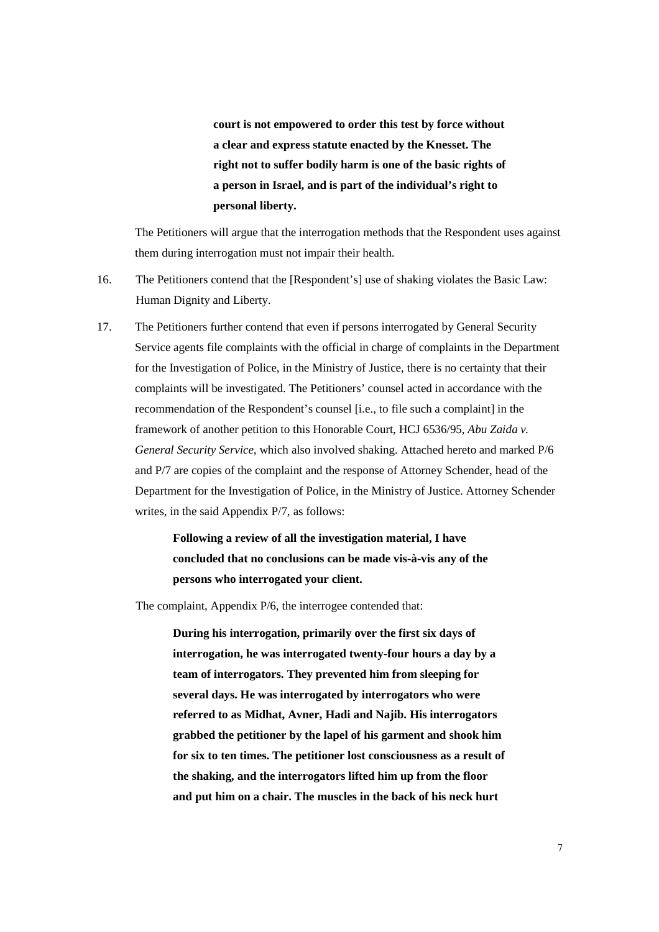**court is not empowered to order this test by force without a clear and express statute enacted by the Knesset. The right not to suffer bodily harm is one of the basic rights of a person in Israel, and is part of the individual's right to personal liberty.** 

The Petitioners will argue that the interrogation methods that the Respondent uses against them during interrogation must not impair their health.

- 16. The Petitioners contend that the [Respondent's] use of shaking violates the Basic Law: Human Dignity and Liberty.
- 17. The Petitioners further contend that even if persons interrogated by General Security Service agents file complaints with the official in charge of complaints in the Department for the Investigation of Police, in the Ministry of Justice, there is no certainty that their complaints will be investigated. The Petitioners' counsel acted in accordance with the recommendation of the Respondent's counsel [i.e., to file such a complaint] in the framework of another petition to this Honorable Court, HCJ 6536/95, *Abu Zaida v. General Security Service*, which also involved shaking. Attached hereto and marked P/6 and P/7 are copies of the complaint and the response of Attorney Schender, head of the Department for the Investigation of Police, in the Ministry of Justice. Attorney Schender writes, in the said Appendix P/7, as follows:

**Following a review of all the investigation material, I have concluded that no conclusions can be made vis-à-vis any of the persons who interrogated your client.** 

The complaint, Appendix P/6, the interrogee contended that:

**During his interrogation, primarily over the first six days of interrogation, he was interrogated twenty-four hours a day by a team of interrogators. They prevented him from sleeping for several days. He was interrogated by interrogators who were referred to as Midhat, Avner, Hadi and Najib. His interrogators grabbed the petitioner by the lapel of his garment and shook him for six to ten times. The petitioner lost consciousness as a result of the shaking, and the interrogators lifted him up from the floor and put him on a chair. The muscles in the back of his neck hurt**